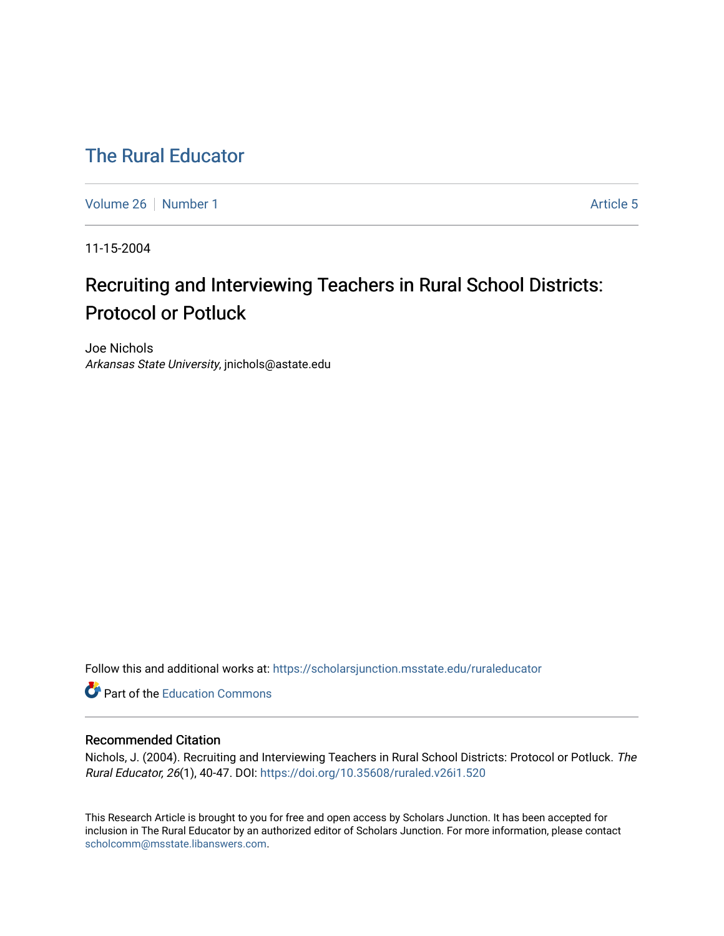## [The Rural Educator](https://scholarsjunction.msstate.edu/ruraleducator)

[Volume 26](https://scholarsjunction.msstate.edu/ruraleducator/vol26) [Number 1](https://scholarsjunction.msstate.edu/ruraleducator/vol26/iss1) Article 5

11-15-2004

# Recruiting and Interviewing Teachers in Rural School Districts: Protocol or Potluck

Joe Nichols Arkansas State University, jnichols@astate.edu

Follow this and additional works at: [https://scholarsjunction.msstate.edu/ruraleducator](https://scholarsjunction.msstate.edu/ruraleducator?utm_source=scholarsjunction.msstate.edu%2Fruraleducator%2Fvol26%2Fiss1%2F5&utm_medium=PDF&utm_campaign=PDFCoverPages)

**C** Part of the [Education Commons](http://network.bepress.com/hgg/discipline/784?utm_source=scholarsjunction.msstate.edu%2Fruraleducator%2Fvol26%2Fiss1%2F5&utm_medium=PDF&utm_campaign=PDFCoverPages)

#### Recommended Citation

Nichols, J. (2004). Recruiting and Interviewing Teachers in Rural School Districts: Protocol or Potluck. The Rural Educator, 26(1), 40-47. DOI:<https://doi.org/10.35608/ruraled.v26i1.520>

This Research Article is brought to you for free and open access by Scholars Junction. It has been accepted for inclusion in The Rural Educator by an authorized editor of Scholars Junction. For more information, please contact [scholcomm@msstate.libanswers.com.](mailto:scholcomm@msstate.libanswers.com)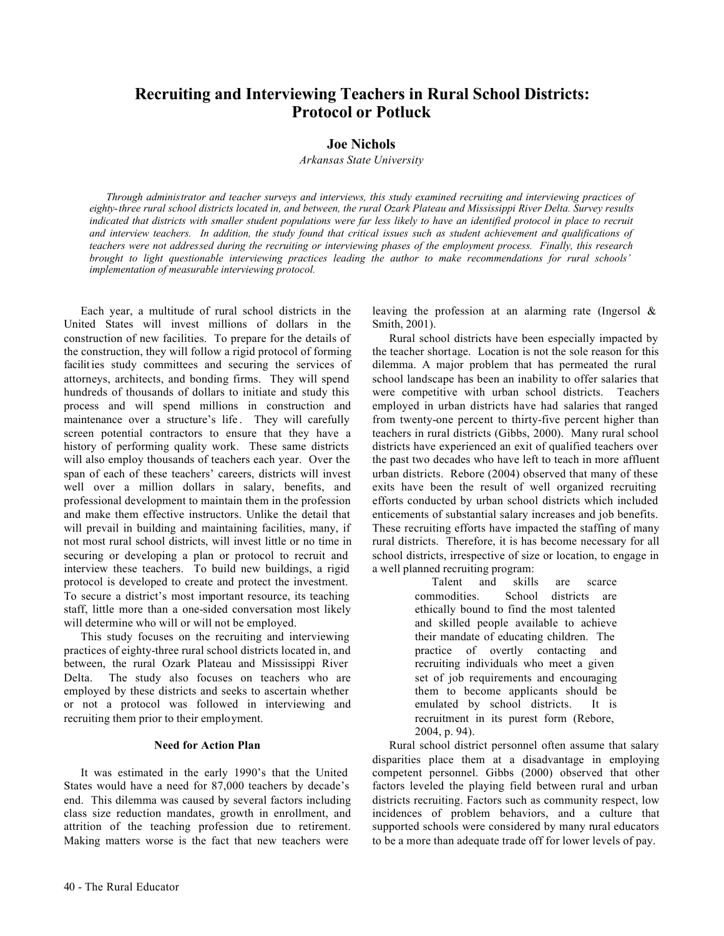### **Recruiting and Interviewing Teachers in Rural School Districts: Protocol or Potluck**

#### **Joe Nichols**

*Arkansas State University*

*Through administrator and teacher surveys and interviews, this study examined recruiting and interviewing practices of eighty-three rural school districts located in, and between, the rural Ozark Plateau and Mississippi River Delta. Survey results indicated that districts with smaller student populations were far less likely to have an identified protocol in place to recruit and interview teachers. In addition, the study found that critical issues such as student achievement and qualifications of teachers were not addressed during the recruiting or interviewing phases of the employment process. Finally, this research brought to light questionable interviewing practices leading the author to make recommendations for rural schools' implementation of measurable interviewing protocol.*

Each year, a multitude of rural school districts in the United States will invest millions of dollars in the construction of new facilities. To prepare for the details of the construction, they will follow a rigid protocol of forming facilit ies study committees and securing the services of attorneys, architects, and bonding firms. They will spend hundreds of thousands of dollars to initiate and study this process and will spend millions in construction and maintenance over a structure's life. They will carefully screen potential contractors to ensure that they have a history of performing quality work. These same districts will also employ thousands of teachers each year. Over the span of each of these teachers' careers, districts will invest well over a million dollars in salary, benefits, and professional development to maintain them in the profession and make them effective instructors. Unlike the detail that will prevail in building and maintaining facilities, many, if not most rural school districts, will invest little or no time in securing or developing a plan or protocol to recruit and interview these teachers. To build new buildings, a rigid protocol is developed to create and protect the investment. To secure a district's most important resource, its teaching staff, little more than a one-sided conversation most likely will determine who will or will not be employed.

This study focuses on the recruiting and interviewing practices of eighty-three rural school districts located in, and between, the rural Ozark Plateau and Mississippi River Delta. The study also focuses on teachers who are employed by these districts and seeks to ascertain whether or not a protocol was followed in interviewing and recruiting them prior to their employment.

#### **Need for Action Plan**

It was estimated in the early 1990's that the United States would have a need for 87,000 teachers by decade's end. This dilemma was caused by several factors including class size reduction mandates, growth in enrollment, and attrition of the teaching profession due to retirement. Making matters worse is the fact that new teachers were

leaving the profession at an alarming rate (Ingersol & Smith, 2001).

Rural school districts have been especially impacted by the teacher shortage. Location is not the sole reason for this dilemma. A major problem that has permeated the rural school landscape has been an inability to offer salaries that were competitive with urban school districts. Teachers employed in urban districts have had salaries that ranged from twenty-one percent to thirty-five percent higher than teachers in rural districts (Gibbs, 2000). Many rural school districts have experienced an exit of qualified teachers over the past two decades who have left to teach in more affluent urban districts. Rebore (2004) observed that many of these exits have been the result of well organized recruiting efforts conducted by urban school districts which included enticements of substantial salary increases and job benefits. These recruiting efforts have impacted the staffing of many rural districts. Therefore, it is has become necessary for all school districts, irrespective of size or location, to engage in a well planned recruiting program:

> Talent and skills are scarce commodities. School districts are ethically bound to find the most talented and skilled people available to achieve their mandate of educating children. The practice of overtly contacting and recruiting individuals who meet a given set of job requirements and encouraging them to become applicants should be emulated by school districts. It is recruitment in its purest form (Rebore, 2004, p. 94).

Rural school district personnel often assume that salary disparities place them at a disadvantage in employing competent personnel. Gibbs (2000) observed that other factors leveled the playing field between rural and urban districts recruiting. Factors such as community respect, low incidences of problem behaviors, and a culture that supported schools were considered by many rural educators to be a more than adequate trade off for lower levels of pay.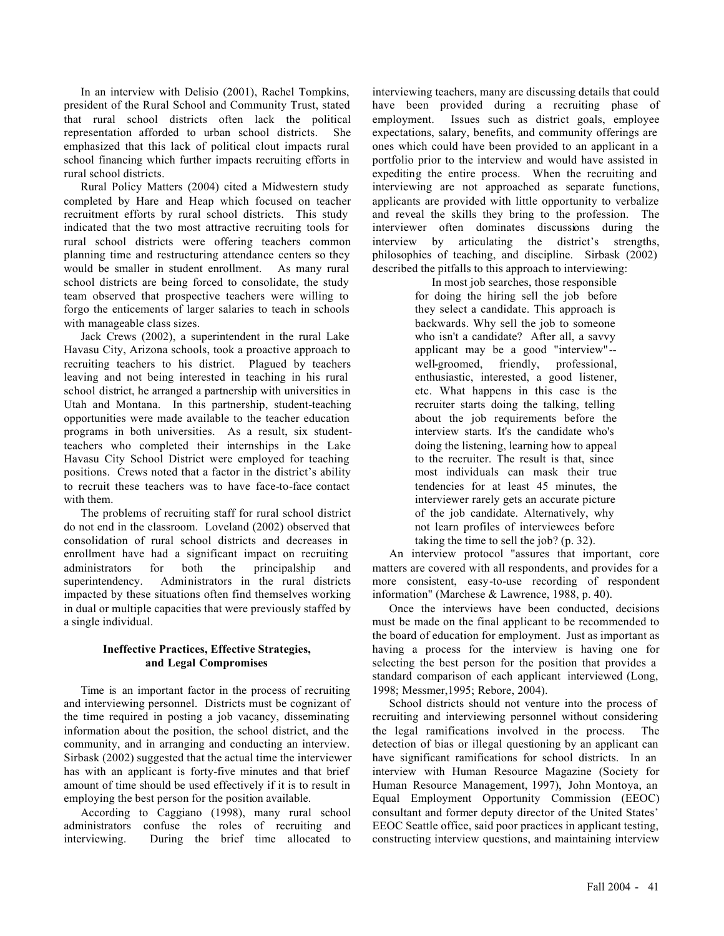In an interview with Delisio (2001), Rachel Tompkins, president of the Rural School and Community Trust, stated that rural school districts often lack the political representation afforded to urban school districts. She emphasized that this lack of political clout impacts rural school financing which further impacts recruiting efforts in rural school districts.

Rural Policy Matters (2004) cited a Midwestern study completed by Hare and Heap which focused on teacher recruitment efforts by rural school districts. This study indicated that the two most attractive recruiting tools for rural school districts were offering teachers common planning time and restructuring attendance centers so they would be smaller in student enrollment. As many rural school districts are being forced to consolidate, the study team observed that prospective teachers were willing to forgo the enticements of larger salaries to teach in schools with manageable class sizes.

Jack Crews (2002), a superintendent in the rural Lake Havasu City, Arizona schools, took a proactive approach to recruiting teachers to his district. Plagued by teachers leaving and not being interested in teaching in his rural school district, he arranged a partnership with universities in Utah and Montana. In this partnership, student-teaching opportunities were made available to the teacher education programs in both universities. As a result, six studentteachers who completed their internships in the Lake Havasu City School District were employed for teaching positions. Crews noted that a factor in the district's ability to recruit these teachers was to have face-to-face contact with them.

The problems of recruiting staff for rural school district do not end in the classroom. Loveland (2002) observed that consolidation of rural school districts and decreases in enrollment have had a significant impact on recruiting administrators for both the principalship and superintendency. Administrators in the rural districts impacted by these situations often find themselves working in dual or multiple capacities that were previously staffed by a single individual.

#### **Ineffective Practices, Effective Strategies, and Legal Compromises**

Time is an important factor in the process of recruiting and interviewing personnel. Districts must be cognizant of the time required in posting a job vacancy, disseminating information about the position, the school district, and the community, and in arranging and conducting an interview. Sirbask (2002) suggested that the actual time the interviewer has with an applicant is forty-five minutes and that brief amount of time should be used effectively if it is to result in employing the best person for the position available.

According to Caggiano (1998), many rural school administrators confuse the roles of recruiting and interviewing. During the brief time allocated to interviewing teachers, many are discussing details that could have been provided during a recruiting phase of employment. Issues such as district goals, employee expectations, salary, benefits, and community offerings are ones which could have been provided to an applicant in a portfolio prior to the interview and would have assisted in expediting the entire process. When the recruiting and interviewing are not approached as separate functions, applicants are provided with little opportunity to verbalize and reveal the skills they bring to the profession. The interviewer often dominates discussions during the interview by articulating the district's strengths, philosophies of teaching, and discipline. Sirbask (2002) described the pitfalls to this approach to interviewing:

> In most job searches, those responsible for doing the hiring sell the job before they select a candidate. This approach is backwards. Why sell the job to someone who isn't a candidate? After all, a savvy applicant may be a good "interview"- well-groomed, friendly, professional, enthusiastic, interested, a good listener, etc. What happens in this case is the recruiter starts doing the talking, telling about the job requirements before the interview starts. It's the candidate who's doing the listening, learning how to appeal to the recruiter. The result is that, since most individuals can mask their true tendencies for at least 45 minutes, the interviewer rarely gets an accurate picture of the job candidate. Alternatively, why not learn profiles of interviewees before taking the time to sell the job? (p. 32).

An interview protocol "assures that important, core matters are covered with all respondents, and provides for a more consistent, easy-to-use recording of respondent information" (Marchese & Lawrence, 1988, p. 40).

Once the interviews have been conducted, decisions must be made on the final applicant to be recommended to the board of education for employment. Just as important as having a process for the interview is having one for selecting the best person for the position that provides a standard comparison of each applicant interviewed (Long, 1998; Messmer,1995; Rebore, 2004).

School districts should not venture into the process of recruiting and interviewing personnel without considering the legal ramifications involved in the process. The detection of bias or illegal questioning by an applicant can have significant ramifications for school districts. In an interview with Human Resource Magazine (Society for Human Resource Management, 1997), John Montoya, an Equal Employment Opportunity Commission (EEOC) consultant and former deputy director of the United States' EEOC Seattle office, said poor practices in applicant testing, constructing interview questions, and maintaining interview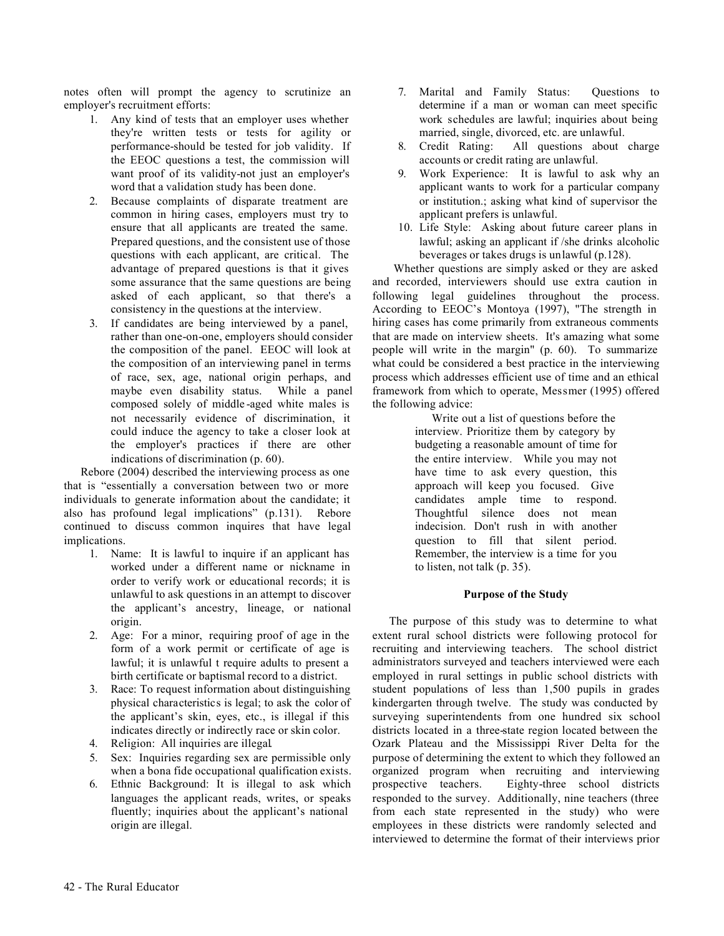notes often will prompt the agency to scrutinize an employer's recruitment efforts:

- 1. Any kind of tests that an employer uses whether they're written tests or tests for agility or performance-should be tested for job validity. If the EEOC questions a test, the commission will want proof of its validity-not just an employer's word that a validation study has been done.
- 2. Because complaints of disparate treatment are common in hiring cases, employers must try to ensure that all applicants are treated the same. Prepared questions, and the consistent use of those questions with each applicant, are critical. The advantage of prepared questions is that it gives some assurance that the same questions are being asked of each applicant, so that there's a consistency in the questions at the interview.
- 3. If candidates are being interviewed by a panel, rather than one-on-one, employers should consider the composition of the panel. EEOC will look at the composition of an interviewing panel in terms of race, sex, age, national origin perhaps, and maybe even disability status. While a panel composed solely of middle -aged white males is not necessarily evidence of discrimination, it could induce the agency to take a closer look at the employer's practices if there are other indications of discrimination (p. 60).

Rebore (2004) described the interviewing process as one that is "essentially a conversation between two or more individuals to generate information about the candidate; it also has profound legal implications" (p.131). Rebore continued to discuss common inquires that have legal implications.

- 1. Name: It is lawful to inquire if an applicant has worked under a different name or nickname in order to verify work or educational records; it is unlawful to ask questions in an attempt to discover the applicant's ancestry, lineage, or national origin.
- 2. Age: For a minor, requiring proof of age in the form of a work permit or certificate of age is lawful; it is unlawful t require adults to present a birth certificate or baptismal record to a district.
- 3. Race: To request information about distinguishing physical characteristics is legal; to ask the color of the applicant's skin, eyes, etc., is illegal if this indicates directly or indirectly race or skin color.
- 4. Religion: All inquiries are illegal.
- 5. Sex: Inquiries regarding sex are permissible only when a bona fide occupational qualification exists.
- 6. Ethnic Background: It is illegal to ask which languages the applicant reads, writes, or speaks fluently; inquiries about the applicant's national origin are illegal.
- 7. Marital and Family Status: Questions to determine if a man or woman can meet specific work schedules are lawful; inquiries about being married, single, divorced, etc. are unlawful.
- 8. Credit Rating: All questions about charge accounts or credit rating are unlawful.
- 9. Work Experience: It is lawful to ask why an applicant wants to work for a particular company or institution.; asking what kind of supervisor the applicant prefers is unlawful.
- 10. Life Style: Asking about future career plans in lawful; asking an applicant if /she drinks alcoholic beverages or takes drugs is unlawful (p.128).

Whether questions are simply asked or they are asked and recorded, interviewers should use extra caution in following legal guidelines throughout the process. According to EEOC's Montoya (1997), "The strength in hiring cases has come primarily from extraneous comments that are made on interview sheets. It's amazing what some people will write in the margin" (p. 60). To summarize what could be considered a best practice in the interviewing process which addresses efficient use of time and an ethical framework from which to operate, Messmer (1995) offered the following advice:

Write out a list of questions before the interview. Prioritize them by category by budgeting a reasonable amount of time for the entire interview. While you may not have time to ask every question, this approach will keep you focused. Give candidates ample time to respond. Thoughtful silence does not mean indecision. Don't rush in with another question to fill that silent period. Remember, the interview is a time for you to listen, not talk (p. 35).

#### **Purpose of the Study**

The purpose of this study was to determine to what extent rural school districts were following protocol for recruiting and interviewing teachers. The school district administrators surveyed and teachers interviewed were each employed in rural settings in public school districts with student populations of less than 1,500 pupils in grades kindergarten through twelve. The study was conducted by surveying superintendents from one hundred six school districts located in a three-state region located between the Ozark Plateau and the Mississippi River Delta for the purpose of determining the extent to which they followed an organized program when recruiting and interviewing prospective teachers. Eighty-three school districts responded to the survey. Additionally, nine teachers (three from each state represented in the study) who were employees in these districts were randomly selected and interviewed to determine the format of their interviews prior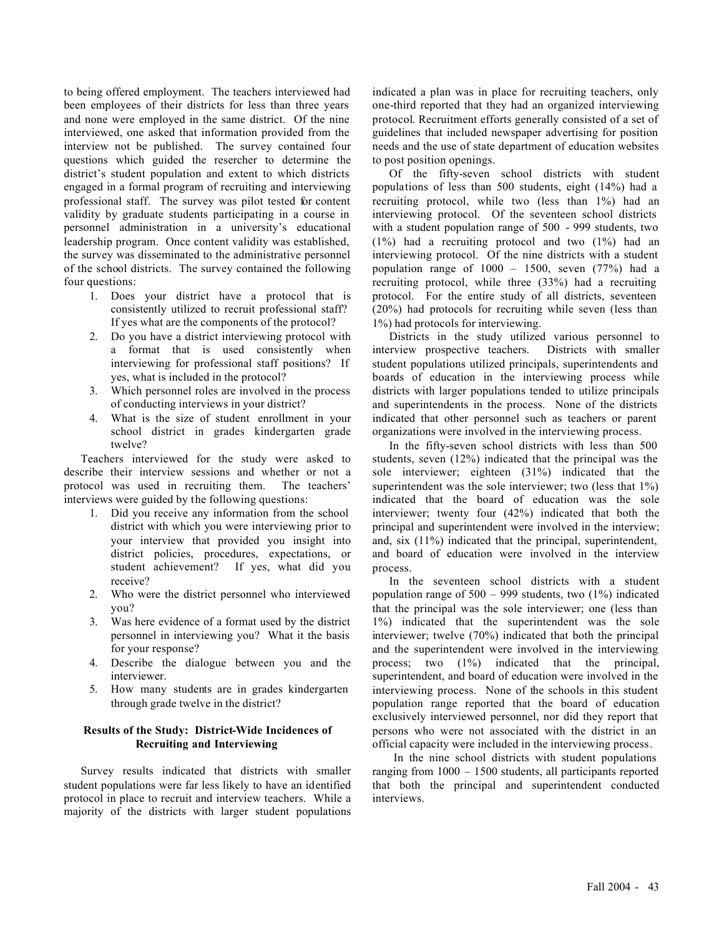to being offered employment. The teachers interviewed had been employees of their districts for less than three years and none were employed in the same district. Of the nine interviewed, one asked that information provided from the interview not be published. The survey contained four questions which guided the resercher to determine the district's student population and extent to which districts engaged in a formal program of recruiting and interviewing professional staff. The survey was pilot tested for content validity by graduate students participating in a course in personnel administration in a university's educational leadership program. Once content validity was established, the survey was disseminated to the administrative personnel of the school districts. The survey contained the following four questions:

- 1. Does your district have a protocol that is consistently utilized to recruit professional staff? If yes what are the components of the protocol?
- 2. Do you have a district interviewing protocol with a format that is used consistently when interviewing for professional staff positions? If yes, what is included in the protocol?
- 3. Which personnel roles are involved in the process of conducting interviews in your district?
- 4. What is the size of student enrollment in your school district in grades kindergarten grade twelve?

Teachers interviewed for the study were asked to describe their interview sessions and whether or not a protocol was used in recruiting them. The teachers' interviews were guided by the following questions:

- 1. Did you receive any information from the school district with which you were interviewing prior to your interview that provided you insight into district policies, procedures, expectations, or student achievement? If yes, what did you receive?
- 2. Who were the district personnel who interviewed you?
- 3. Was here evidence of a format used by the district personnel in interviewing you? What it the basis for your response?
- 4. Describe the dialogue between you and the interviewer.
- 5. How many students are in grades kindergarten through grade twelve in the district?

#### **Results of the Study: District-Wide Incidences of Recruiting and Interviewing**

Survey results indicated that districts with smaller student populations were far less likely to have an identified protocol in place to recruit and interview teachers. While a majority of the districts with larger student populations

indicated a plan was in place for recruiting teachers, only one-third reported that they had an organized interviewing protocol. Recruitment efforts generally consisted of a set of guidelines that included newspaper advertising for position needs and the use of state department of education websites to post position openings.

Of the fifty-seven school districts with student populations of less than 500 students, eight (14%) had a recruiting protocol, while two (less than 1%) had an interviewing protocol. Of the seventeen school districts with a student population range of 500 - 999 students, two (1%) had a recruiting protocol and two (1%) had an interviewing protocol. Of the nine districts with a student population range of 1000 – 1500, seven (77%) had a recruiting protocol, while three (33%) had a recruiting protocol. For the entire study of all districts, seventeen (20%) had protocols for recruiting while seven (less than 1%) had protocols for interviewing.

Districts in the study utilized various personnel to interview prospective teachers. Districts with smaller student populations utilized principals, superintendents and boards of education in the interviewing process while districts with larger populations tended to utilize principals and superintendents in the process. None of the districts indicated that other personnel such as teachers or parent organizations were involved in the interviewing process.

In the fifty-seven school districts with less than 500 students, seven (12%) indicated that the principal was the sole interviewer; eighteen (31%) indicated that the superintendent was the sole interviewer; two (less that  $1\%$ ) indicated that the board of education was the sole interviewer; twenty four (42%) indicated that both the principal and superintendent were involved in the interview; and, six (11%) indicated that the principal, superintendent, and board of education were involved in the interview process.

In the seventeen school districts with a student population range of  $500 - 999$  students, two  $(1\%)$  indicated that the principal was the sole interviewer; one (less than 1%) indicated that the superintendent was the sole interviewer; twelve (70%) indicated that both the principal and the superintendent were involved in the interviewing process; two (1%) indicated that the principal, superintendent, and board of education were involved in the interviewing process. None of the schools in this student population range reported that the board of education exclusively interviewed personnel, nor did they report that persons who were not associated with the district in an official capacity were included in the interviewing process.

In the nine school districts with student populations ranging from 1000 – 1500 students, all participants reported that both the principal and superintendent conducted interviews.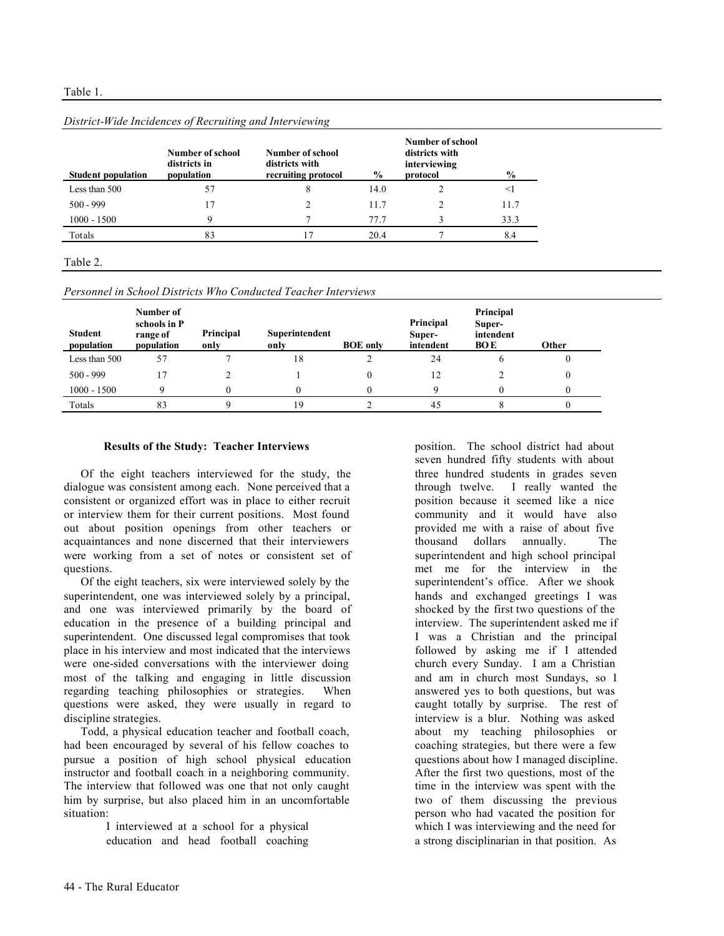| <b>Student population</b> | Number of school<br>districts in<br>population | Number of school<br>districts with<br>recruiting protocol | $\frac{6}{9}$ | Number of school<br>districts with<br>interviewing<br>protocol | $\frac{6}{9}$ |
|---------------------------|------------------------------------------------|-----------------------------------------------------------|---------------|----------------------------------------------------------------|---------------|
| Less than 500             | 57                                             | 8                                                         | 14.0          |                                                                |               |
| $500 - 999$               | 17                                             |                                                           | 11.7          |                                                                | 11.7          |
| $1000 - 1500$             | q                                              |                                                           | 77.7          |                                                                | 33.3          |
| Totals                    | 83                                             |                                                           | 20.4          |                                                                | 8.4           |

#### *District-Wide Incidences of Recruiting and Interviewing*

#### Table 2.

*Personnel in School Districts Who Conducted Teacher Interviews*

| <b>Student</b><br>population | Number of<br>schools in P<br>range of<br>population | Principal<br>only | Superintendent<br>only | <b>BOE</b> only | Principal<br>Super-<br>intendent | Principal<br>Super-<br>intendent<br><b>BOE</b> | <b>Other</b> |
|------------------------------|-----------------------------------------------------|-------------------|------------------------|-----------------|----------------------------------|------------------------------------------------|--------------|
| Less than 500                | 57                                                  |                   | 18                     |                 | 24                               |                                                |              |
| $500 - 999$                  |                                                     |                   |                        |                 | 12                               |                                                |              |
| $1000 - 1500$                |                                                     |                   |                        |                 |                                  |                                                |              |
| Totals                       | 83                                                  |                   | 19                     |                 | 45                               |                                                |              |

#### **Results of the Study: Teacher Interviews**

Of the eight teachers interviewed for the study, the dialogue was consistent among each. None perceived that a consistent or organized effort was in place to either recruit or interview them for their current positions. Most found out about position openings from other teachers or acquaintances and none discerned that their interviewers were working from a set of notes or consistent set of questions.

Of the eight teachers, six were interviewed solely by the superintendent, one was interviewed solely by a principal, and one was interviewed primarily by the board of education in the presence of a building principal and superintendent. One discussed legal compromises that took place in his interview and most indicated that the interviews were one-sided conversations with the interviewer doing most of the talking and engaging in little discussion regarding teaching philosophies or strategies. When questions were asked, they were usually in regard to discipline strategies.

Todd, a physical education teacher and football coach, had been encouraged by several of his fellow coaches to pursue a position of high school physical education instructor and football coach in a neighboring community. The interview that followed was one that not only caught him by surprise, but also placed him in an uncomfortable situation:

> I interviewed at a school for a physical education and head football coaching

position. The school district had about seven hundred fifty students with about three hundred students in grades seven through twelve. I really wanted the position because it seemed like a nice community and it would have also provided me with a raise of about five thousand dollars annually. The superintendent and high school principal met me for the interview in the superintendent's office. After we shook hands and exchanged greetings I was shocked by the first two questions of the interview. The superintendent asked me if I was a Christian and the principal followed by asking me if I attended church every Sunday. I am a Christian and am in church most Sundays, so I answered yes to both questions, but was caught totally by surprise. The rest of interview is a blur. Nothing was asked about my teaching philosophies or coaching strategies, but there were a few questions about how I managed discipline. After the first two questions, most of the time in the interview was spent with the two of them discussing the previous person who had vacated the position for which I was interviewing and the need for a strong disciplinarian in that position. As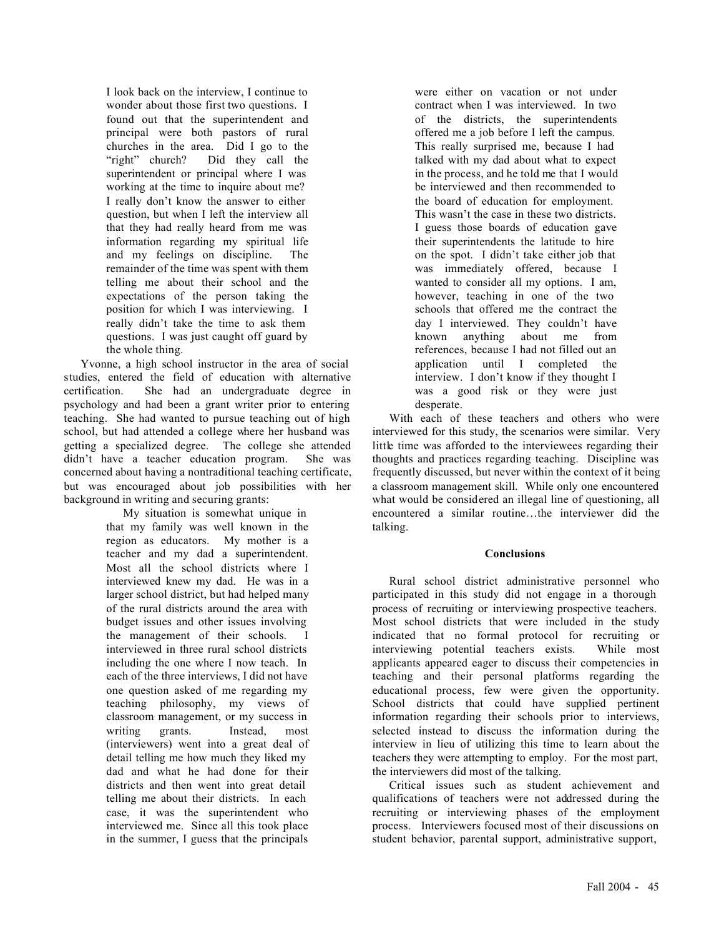I look back on the interview, I continue to wonder about those first two questions. I found out that the superintendent and principal were both pastors of rural churches in the area. Did I go to the "right" church? Did they call the superintendent or principal where I was working at the time to inquire about me? I really don't know the answer to either question, but when I left the interview all that they had really heard from me was information regarding my spiritual life and my feelings on discipline. The remainder of the time was spent with them telling me about their school and the expectations of the person taking the position for which I was interviewing. I really didn't take the time to ask them questions. I was just caught off guard by the whole thing.

Yvonne, a high school instructor in the area of social studies, entered the field of education with alternative certification. She had an undergraduate degree in psychology and had been a grant writer prior to entering teaching. She had wanted to pursue teaching out of high school, but had attended a college where her husband was getting a specialized degree. The college she attended didn't have a teacher education program. She was concerned about having a nontraditional teaching certificate, but was encouraged about job possibilities with her background in writing and securing grants:

My situation is somewhat unique in that my family was well known in the region as educators. My mother is a teacher and my dad a superintendent. Most all the school districts where I interviewed knew my dad. He was in a larger school district, but had helped many of the rural districts around the area with budget issues and other issues involving the management of their schools. I interviewed in three rural school districts including the one where I now teach. In each of the three interviews, I did not have one question asked of me regarding my teaching philosophy, my views of classroom management, or my success in writing grants. Instead, most (interviewers) went into a great deal of detail telling me how much they liked my dad and what he had done for their districts and then went into great detail telling me about their districts. In each case, it was the superintendent who interviewed me. Since all this took place in the summer, I guess that the principals

were either on vacation or not under contract when I was interviewed. In two of the districts, the superintendents offered me a job before I left the campus. This really surprised me, because I had talked with my dad about what to expect in the process, and he told me that I would be interviewed and then recommended to the board of education for employment. This wasn't the case in these two districts. I guess those boards of education gave their superintendents the latitude to hire on the spot. I didn't take either job that was immediately offered, because I wanted to consider all my options. I am, however, teaching in one of the two schools that offered me the contract the day I interviewed. They couldn't have known anything about me from references, because I had not filled out an application until I completed the interview. I don't know if they thought I was a good risk or they were just desperate.

With each of these teachers and others who were interviewed for this study, the scenarios were similar. Very little time was afforded to the interviewees regarding their thoughts and practices regarding teaching. Discipline was frequently discussed, but never within the context of it being a classroom management skill. While only one encountered what would be considered an illegal line of questioning, all encountered a similar routine…the interviewer did the talking.

#### **Conclusions**

Rural school district administrative personnel who participated in this study did not engage in a thorough process of recruiting or interviewing prospective teachers. Most school districts that were included in the study indicated that no formal protocol for recruiting or interviewing potential teachers exists. While most applicants appeared eager to discuss their competencies in teaching and their personal platforms regarding the educational process, few were given the opportunity. School districts that could have supplied pertinent information regarding their schools prior to interviews, selected instead to discuss the information during the interview in lieu of utilizing this time to learn about the teachers they were attempting to employ. For the most part, the interviewers did most of the talking.

Critical issues such as student achievement and qualifications of teachers were not addressed during the recruiting or interviewing phases of the employment process. Interviewers focused most of their discussions on student behavior, parental support, administrative support,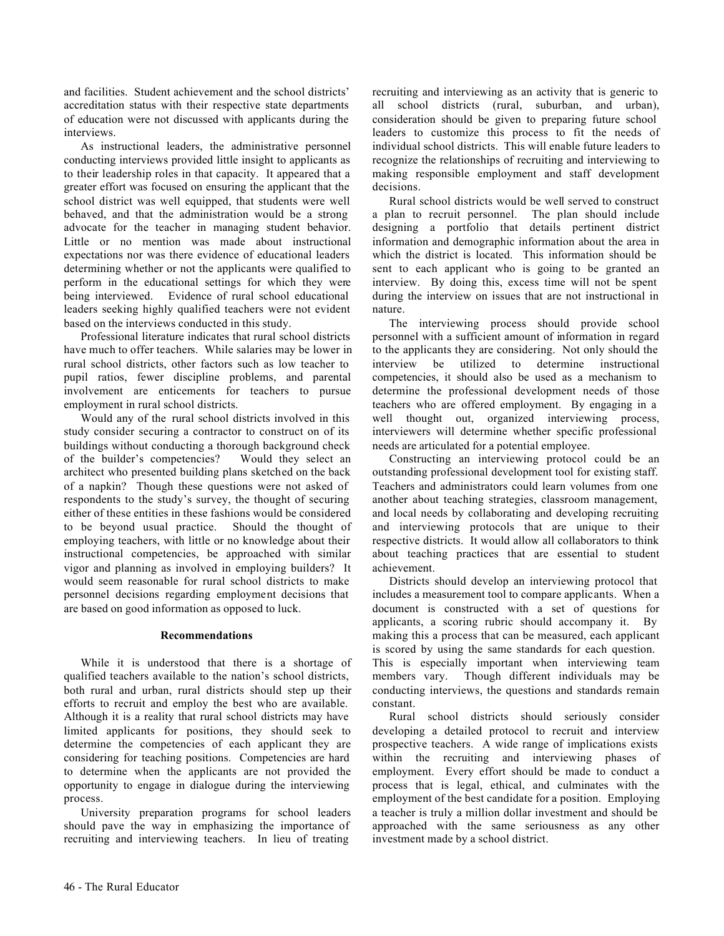and facilities. Student achievement and the school districts' accreditation status with their respective state departments of education were not discussed with applicants during the interviews.

As instructional leaders, the administrative personnel conducting interviews provided little insight to applicants as to their leadership roles in that capacity. It appeared that a greater effort was focused on ensuring the applicant that the school district was well equipped, that students were well behaved, and that the administration would be a strong advocate for the teacher in managing student behavior. Little or no mention was made about instructional expectations nor was there evidence of educational leaders determining whether or not the applicants were qualified to perform in the educational settings for which they were being interviewed. Evidence of rural school educational leaders seeking highly qualified teachers were not evident based on the interviews conducted in this study.

Professional literature indicates that rural school districts have much to offer teachers. While salaries may be lower in rural school districts, other factors such as low teacher to pupil ratios, fewer discipline problems, and parental involvement are enticements for teachers to pursue employment in rural school districts.

Would any of the rural school districts involved in this study consider securing a contractor to construct on of its buildings without conducting a thorough background check of the builder's competencies? Would they select an architect who presented building plans sketched on the back of a napkin? Though these questions were not asked of respondents to the study's survey, the thought of securing either of these entities in these fashions would be considered to be beyond usual practice. Should the thought of employing teachers, with little or no knowledge about their instructional competencies, be approached with similar vigor and planning as involved in employing builders? It would seem reasonable for rural school districts to make personnel decisions regarding employment decisions that are based on good information as opposed to luck.

#### **Recommendations**

While it is understood that there is a shortage of qualified teachers available to the nation's school districts, both rural and urban, rural districts should step up their efforts to recruit and employ the best who are available. Although it is a reality that rural school districts may have limited applicants for positions, they should seek to determine the competencies of each applicant they are considering for teaching positions. Competencies are hard to determine when the applicants are not provided the opportunity to engage in dialogue during the interviewing process.

University preparation programs for school leaders should pave the way in emphasizing the importance of recruiting and interviewing teachers. In lieu of treating recruiting and interviewing as an activity that is generic to all school districts (rural, suburban, and urban), consideration should be given to preparing future school leaders to customize this process to fit the needs of individual school districts. This will enable future leaders to recognize the relationships of recruiting and interviewing to making responsible employment and staff development decisions.

Rural school districts would be well served to construct a plan to recruit personnel. The plan should include designing a portfolio that details pertinent district information and demographic information about the area in which the district is located. This information should be sent to each applicant who is going to be granted an interview. By doing this, excess time will not be spent during the interview on issues that are not instructional in nature.

The interviewing process should provide school personnel with a sufficient amount of information in regard to the applicants they are considering. Not only should the interview be utilized to determine instructional competencies, it should also be used as a mechanism to determine the professional development needs of those teachers who are offered employment. By engaging in a well thought out, organized interviewing process, interviewers will determine whether specific professional needs are articulated for a potential employee.

Constructing an interviewing protocol could be an outstanding professional development tool for existing staff. Teachers and administrators could learn volumes from one another about teaching strategies, classroom management, and local needs by collaborating and developing recruiting and interviewing protocols that are unique to their respective districts. It would allow all collaborators to think about teaching practices that are essential to student achievement.

Districts should develop an interviewing protocol that includes a measurement tool to compare applicants. When a document is constructed with a set of questions for applicants, a scoring rubric should accompany it. By making this a process that can be measured, each applicant is scored by using the same standards for each question. This is especially important when interviewing team members vary. Though different individuals may be conducting interviews, the questions and standards remain constant.

Rural school districts should seriously consider developing a detailed protocol to recruit and interview prospective teachers. A wide range of implications exists within the recruiting and interviewing phases of employment. Every effort should be made to conduct a process that is legal, ethical, and culminates with the employment of the best candidate for a position. Employing a teacher is truly a million dollar investment and should be approached with the same seriousness as any other investment made by a school district.